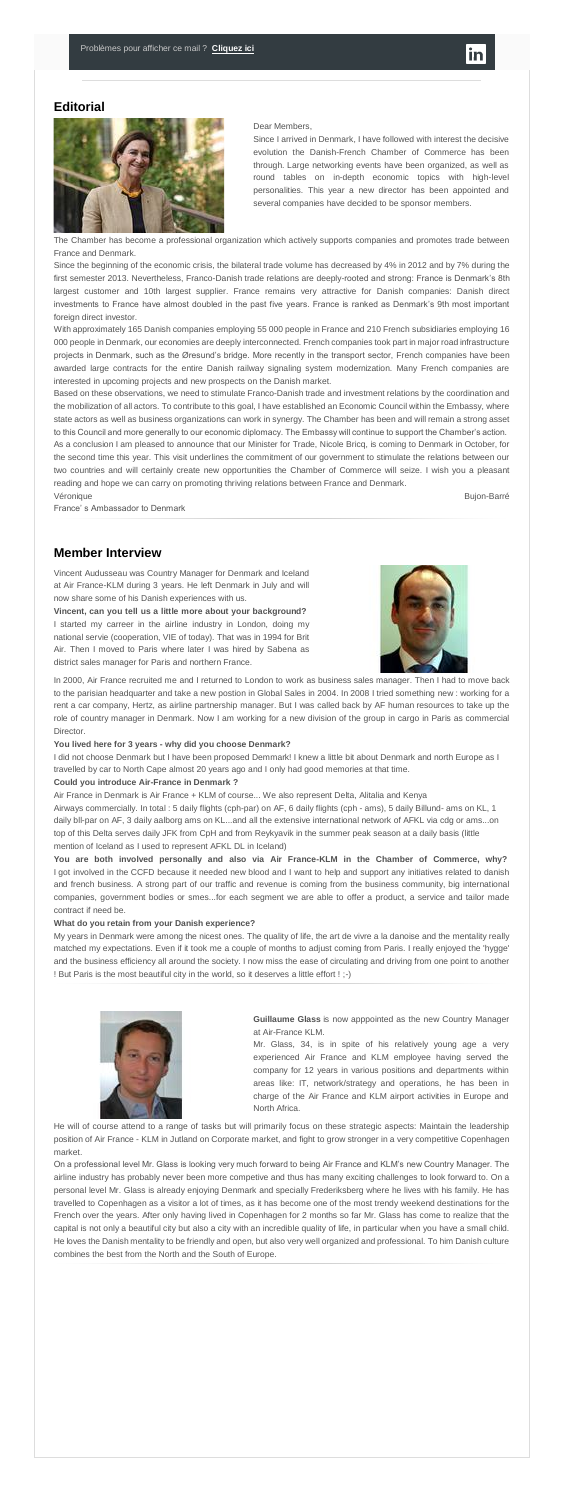### **Editorial**



#### Dear Members,

Since I arrived in Denmark, I have followed with interest the decisive evolution the Danish-French Chamber of Commerce has been through. Large networking events have been organized, as well as round tables on in-depth economic topics with high-level personalities. This year a new director has been appointed and several companies have decided to be sponsor members.

The Chamber has become a professional organization which actively supports companies and promotes trade between France and Denmark.

Since the beginning of the economic crisis, the bilateral trade volume has decreased by 4% in 2012 and by 7% during the first semester 2013. Nevertheless, Franco-Danish trade relations are deeply-rooted and strong: France is Denmark's 8th largest customer and 10th largest supplier. France remains very attractive for Danish companies: Danish direct investments to France have almost doubled in the past five years. France is ranked as Denmark's 9th most important foreign direct investor.

With approximately 165 Danish companies employing 55 000 people in France and 210 French subsidiaries employing 16 000 people in Denmark, our economies are deeply interconnected. French companies took part in major road infrastructure projects in Denmark, such as the Øresund's bridge. More recently in the transport sector, French companies have been awarded large contracts for the entire Danish railway signaling system modernization. Many French companies are interested in upcoming projects and new prospects on the Danish market.

Based on these observations, we need to stimulate Franco-Danish trade and investment relations by the coordination and the mobilization of all actors. To contribute to this goal, I have established an Economic Council within the Embassy, where state actors as well as business organizations can work in synergy. The Chamber has been and will remain a strong asset to this Council and more generally to our economic diplomacy. The Embassy will continue to support the Chamber's action. As a conclusion I am pleased to announce that our Minister for Trade, Nicole Bricq, is coming to Denmark in October, for the second time this year. This visit underlines the commitment of our government to stimulate the relations between our two countries and will certainly create new opportunities the Chamber of Commerce will seize. I wish you a pleasant reading and hope we can carry on promoting thriving relations between France and Denmark.

Véronique Bujon-Barré

France' s Ambassador to Denmark

### **Member Interview**

Vincent Audusseau was Country Manager for Denmark and Iceland at Air France-KLM during 3 years. He left Denmark in July and will now share some of his Danish experiences with us.

**Vincent, can you tell us a little more about your background?** I started my carreer in the airline industry in London, doing my national servie (cooperation, VIE of today). That was in 1994 for Brit Air. Then I moved to Paris where later I was hired by Sabena as district sales manager for Paris and northern France.



In 2000, Air France recruited me and I returned to London to work as business sales manager. Then I had to move back to the parisian headquarter and take a new postion in Global Sales in 2004. In 2008 I tried something new : working for a rent a car company, Hertz, as airline partnership manager. But I was called back by AF human resources to take up the role of country manager in Denmark. Now I am working for a new division of the group in cargo in Paris as commercial Director.

#### **You lived here for 3 years - why did you choose Denmark?**

I did not choose Denmark but I have been proposed Demmark! I knew a little bit about Denmark and north Europe as I travelled by car to North Cape almost 20 years ago and I only had good memories at that time.

#### **Could you introduce Air-France in Denmark ?**

Air France in Denmark is Air France + KLM of course... We also represent Delta, Alitalia and Kenya Airways commercially. In total : 5 daily flights (cph-par) on AF, 6 daily flights (cph - ams), 5 daily Billund- ams on KL, 1 daily bll-par on AF, 3 daily aalborg ams on KL...and all the extensive international network of AFKL via cdg or ams...on top of this Delta serves daily JFK from CpH and from Reykyavik in the summer peak season at a daily basis (little mention of Iceland as I used to represent AFKL DL in Iceland)

**You are both involved personally and also via Air France-KLM in the Chamber of Commerce, why?** I got involved in the CCFD because it needed new blood and I want to help and support any initiatives related to danish and french business. A strong part of our traffic and revenue is coming from the business community, big international companies, government bodies or smes...for each segment we are able to offer a product, a service and tailor made contract if need be.

#### **What do you retain from your Danish experience?**

My years in Denmark were among the nicest ones. The quality of life, the art de vivre a la danoise and the mentality really matched my expectations. Even if it took me a couple of months to adjust coming from Paris. I really enjoyed the 'hygge' and the business efficiency all around the society. I now miss the ease of circulating and driving from one point to another ! But Paris is the most beautiful city in the world, so it deserves a little effort ! ;-)



**Guillaume Glass** is now apppointed as the new Country Manager at Air-France KLM.

Mr. Glass, 34, is in spite of his relatively young age a very experienced Air France and KLM employee having served the company for 12 years in various positions and departments within areas like: IT, network/strategy and operations, he has been in charge of the Air France and KLM airport activities in Europe and North Africa.

He will of course attend to a range of tasks but will primarily focus on these strategic aspects: Maintain the leadership position of Air France - KLM in Jutland on Corporate market, and fight to grow stronger in a very competitive Copenhagen market.

On a professional level Mr. Glass is looking very much forward to being Air France and KLM's new Country Manager. The airline industry has probably never been more competive and thus has many exciting challenges to look forward to. On a personal level Mr. Glass is already enjoying Denmark and specially Frederiksberg where he lives with his family. He has travelled to Copenhagen as a visitor a lot of times, as it has become one of the most trendy weekend destinations for the French over the years. After only having lived in Copenhagen for 2 months so far Mr. Glass has come to realize that the capital is not only a beautiful city but also a city with an incredible quality of life, in particular when you have a small child. He loves the Danish mentality to be friendly and open, but also very well organized and professional. To him Danish culture combines the best from the North and the South of Europe.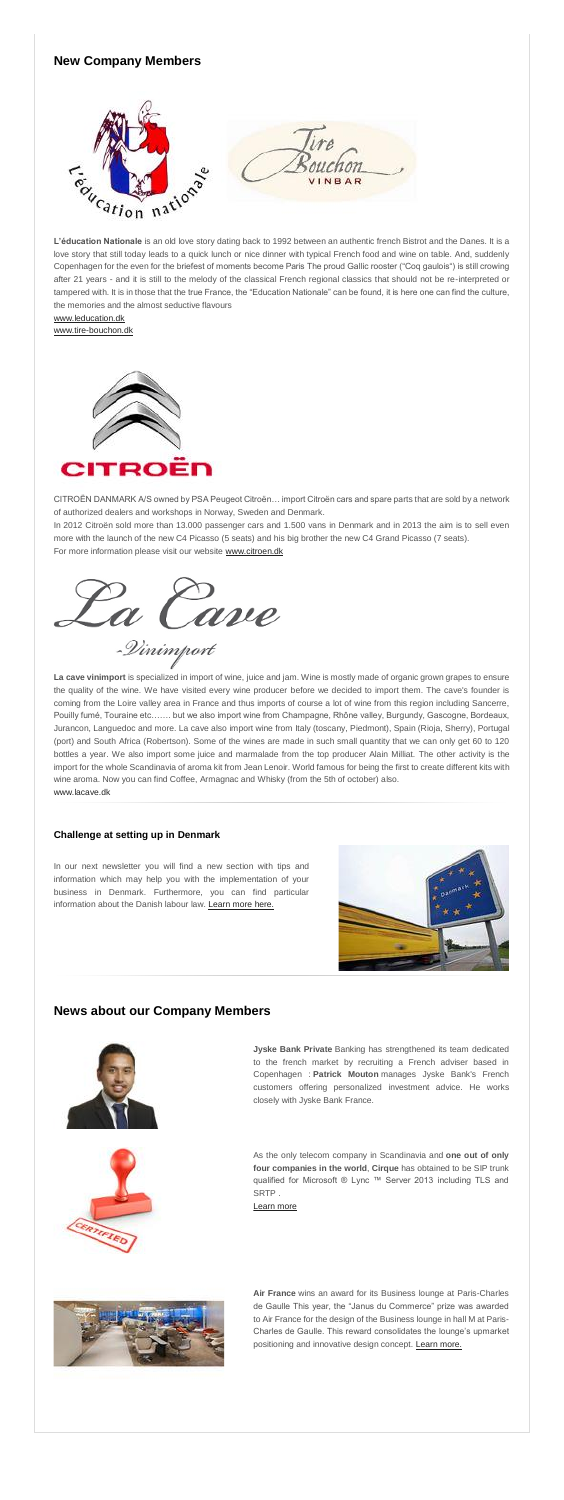# **New Company Members**

**L'éducation Nationale** is an old love story dating back to 1992 between an authentic french Bistrot and the Danes. It is a love story that still today leads to a quick lunch or nice dinner with typical French food and wine on table. And, suddenly Copenhagen for the even for the briefest of moments become Paris The proud Gallic rooster ("Coq gaulois") is still crowing after 21 years - and it is still to the melody of the classical French regional classics that should not be re-interpreted or tampered with. It is in those that the true France, the "Education Nationale" can be found, it is here one can find the culture, the memories and the almost seductive flavours



[www.leducation.dk](http://www.leducation.dk/) [www.tire-bouchon.dk](http://www.tire-bouchon.dk/)



CITROËN DANMARK A/S owned by PSA Peugeot Citroën… import Citroën cars and spare parts that are sold by a network of authorized dealers and workshops in Norway, Sweden and Denmark.

In 2012 Citroën sold more than 13.000 passenger cars and 1.500 vans in Denmark and in 2013 the aim is to sell even more with the launch of the new C4 Picasso (5 seats) and his big brother the new C4 Grand Picasso (7 seats). For more information please visit our website [www.citroen.dk](http://www.citroen.dk/)



-Dinimport

In our next newsletter you will find a new section with tips and information which may help you with the implementation of your business in Denmark. Furthermore, you can find particular information about the Danish labour law. [Learn more here.](http://admin.uccife.org/?id=29031)



**Air France** wins an award for its Business lounge at Paris-Charles de Gaulle This year, the "Janus du Commerce" prize was awarded to Air France for the design of the Business lounge in hall M at Paris-Charles de Gaulle. This reward consolidates the lounge's upmarket positioning and innovative design concept. [Learn more.](http://admin.uccife.org/?id=28623)

**La cave vinimport** is specialized in import of wine, juice and jam. Wine is mostly made of organic grown grapes to ensure the quality of the wine. We have visited every wine producer before we decided to import them. The cave's founder is coming from the Loire valley area in France and thus imports of course a lot of wine from this region including Sancerre, Pouilly fumé, Touraine etc……. but we also import wine from Champagne, Rhône valley, Burgundy, Gascogne, Bordeaux, Jurancon, Languedoc and more. La cave also import wine from Italy (toscany, Piedmont), Spain (Rioja, Sherry), Portugal (port) and South Africa (Robertson). Some of the wines are made in such small quantity that we can only get 60 to 120 bottles a year. We also import some juice and marmalade from the top producer Alain Milliat. The other activity is the import for the whole Scandinavia of aroma kit from Jean Lenoir. World famous for being the first to create different kits with wine aroma. Now you can find Coffee, Armagnac and Whisky (from the 5th of october) also. [www.lacave.dk](http://www.lacave.dk/)

#### **Challenge at setting up in Denmark**

# **News about our Company Members**



**Jyske Bank Private** Banking has strengthened its team dedicated to the french market by recruiting a French adviser based in Copenhagen : **Patrick Mouton** manages Jyske Bank's French customers offering personalized investment advice. He works closely with Jyske Bank France.

As the only telecom company in Scandinavia and **one out of only four companies in the world**, **Cirque** has obtained to be SIP trunk qualified for Microsoft ® Lync ™ Server 2013 including TLS and SRTP .

[Learn more](http://admin.uccife.org/?id=28703)

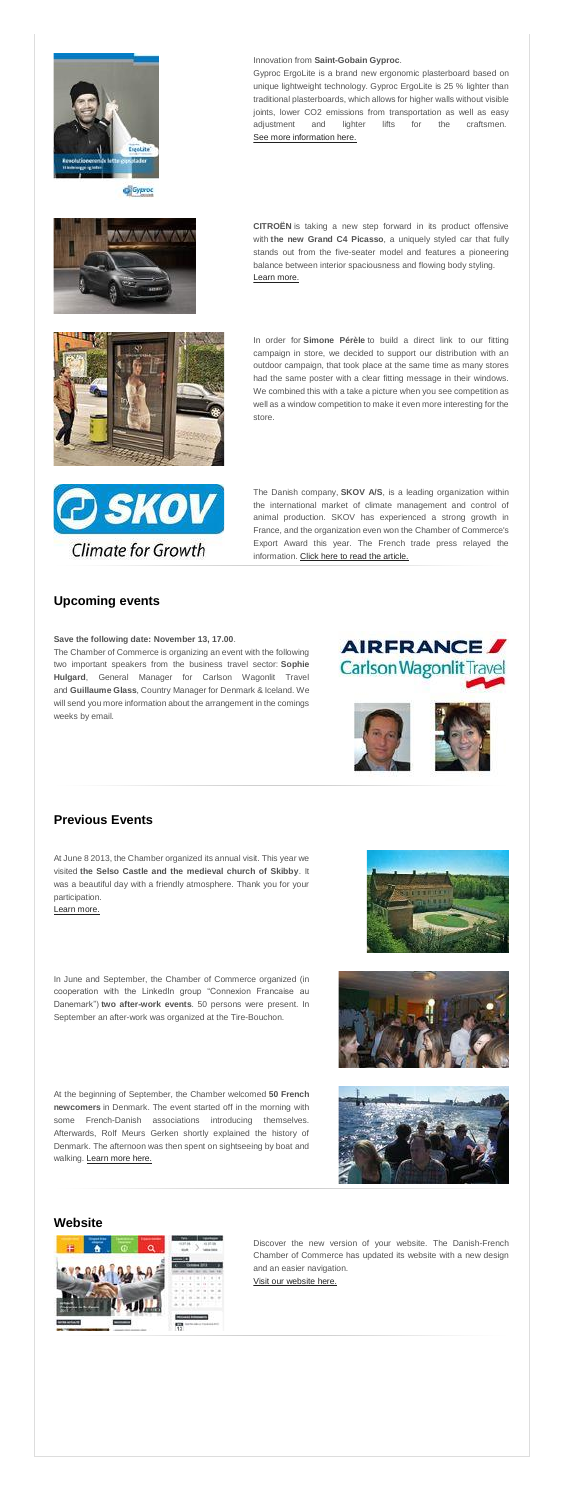

C Gyproc



### Innovation from **Saint-Gobain Gyproc**.

Gyproc ErgoLite is a brand new ergonomic plasterboard based on unique lightweight technology. Gyproc ErgoLite is 25 % lighter than traditional plasterboards, which allows for higher walls without visible joints, lower CO2 emissions from transportation as well as easy adjustment and lighter lifts for the craftsmen. [See more information here.](http://www.gyproc.dk/)

**CITROËN** is taking a new step forward in its product offensive with **the new Grand C4 Picasso**, a uniquely styled car that fully stands out from the five-seater model and features a pioneering balance between interior spaciousness and flowing body styling. [Learn more.](http://admin.uccife.org/?id=28720)



The Danish company, **SKOV A/S**, is a leading organization within the international market of climate management and control of animal production. SKOV has experienced a strong growth in France, and the organization even won the Chamber of Commerce's Export Award this year. The French trade press relayed the information. [Click here to read the article.](http://admin.uccife.org/fileadmin/template/danemark/docs/Skov_AS.pdf)

In order for **Simone Pérèle** to build a direct link to our fitting campaign in store, we decided to support our distribution with an outdoor campaign, that took place at the same time as many stores had the same poster with a clear fitting message in their windows. We combined this with a take a picture when you see competition as well as a window competition to make it even more interesting for the store.



# **Upcoming events**

#### **Save the following date: November 13, 17.00**.

The Chamber of Commerce is organizing an event with the following two important speakers from the business travel sector: **Sophie Hulgard**, General Manager for Carlson Wagonlit Travel and **Guillaume Glass**, Country Manager for Denmark & Iceland. We will send you more information about the arrangement in the comings weeks by email.





**Previous Events**

At June 8 2013, the Chamber organized its annual visit. This year we visited **the Selso Castle and the medieval church of Skibby**. It was a beautiful day with a friendly atmosphere. Thank you for your participation.

[Learn more.](http://admin.uccife.org/?id=27537)





### **Website**



Discover the new version of your website. The Danish-French Chamber of Commerce has updated its website with a new design and an easier navigation.

[Visit our website here.](http://admin.uccife.org/?id=6030)